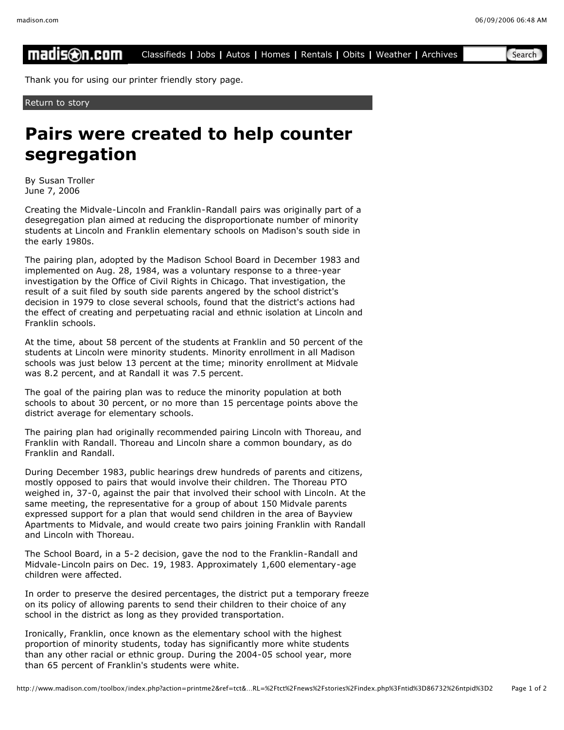## madis⊛n.com Classifieds **|** Jobs **|** Autos **|** Homes **|** Rentals **|** Obits **|** Weather **|** Archives Search

Thank you for using our printer friendly story page.

Return to story

## **Pairs were created to help counter segregation**

By Susan Troller June 7, 2006

Creating the Midvale-Lincoln and Franklin-Randall pairs was originally part of a desegregation plan aimed at reducing the disproportionate number of minority students at Lincoln and Franklin elementary schools on Madison's south side in the early 1980s.

The pairing plan, adopted by the Madison School Board in December 1983 and implemented on Aug. 28, 1984, was a voluntary response to a three-year investigation by the Office of Civil Rights in Chicago. That investigation, the result of a suit filed by south side parents angered by the school district's decision in 1979 to close several schools, found that the district's actions had the effect of creating and perpetuating racial and ethnic isolation at Lincoln and Franklin schools.

At the time, about 58 percent of the students at Franklin and 50 percent of the students at Lincoln were minority students. Minority enrollment in all Madison schools was just below 13 percent at the time; minority enrollment at Midvale was 8.2 percent, and at Randall it was 7.5 percent.

The goal of the pairing plan was to reduce the minority population at both schools to about 30 percent, or no more than 15 percentage points above the district average for elementary schools.

The pairing plan had originally recommended pairing Lincoln with Thoreau, and Franklin with Randall. Thoreau and Lincoln share a common boundary, as do Franklin and Randall.

During December 1983, public hearings drew hundreds of parents and citizens, mostly opposed to pairs that would involve their children. The Thoreau PTO weighed in, 37-0, against the pair that involved their school with Lincoln. At the same meeting, the representative for a group of about 150 Midvale parents expressed support for a plan that would send children in the area of Bayview Apartments to Midvale, and would create two pairs joining Franklin with Randall and Lincoln with Thoreau.

The School Board, in a 5-2 decision, gave the nod to the Franklin-Randall and Midvale-Lincoln pairs on Dec. 19, 1983. Approximately 1,600 elementary-age children were affected.

In order to preserve the desired percentages, the district put a temporary freeze on its policy of allowing parents to send their children to their choice of any school in the district as long as they provided transportation.

Ironically, Franklin, once known as the elementary school with the highest proportion of minority students, today has significantly more white students than any other racial or ethnic group. During the 2004-05 school year, more than 65 percent of Franklin's students were white.